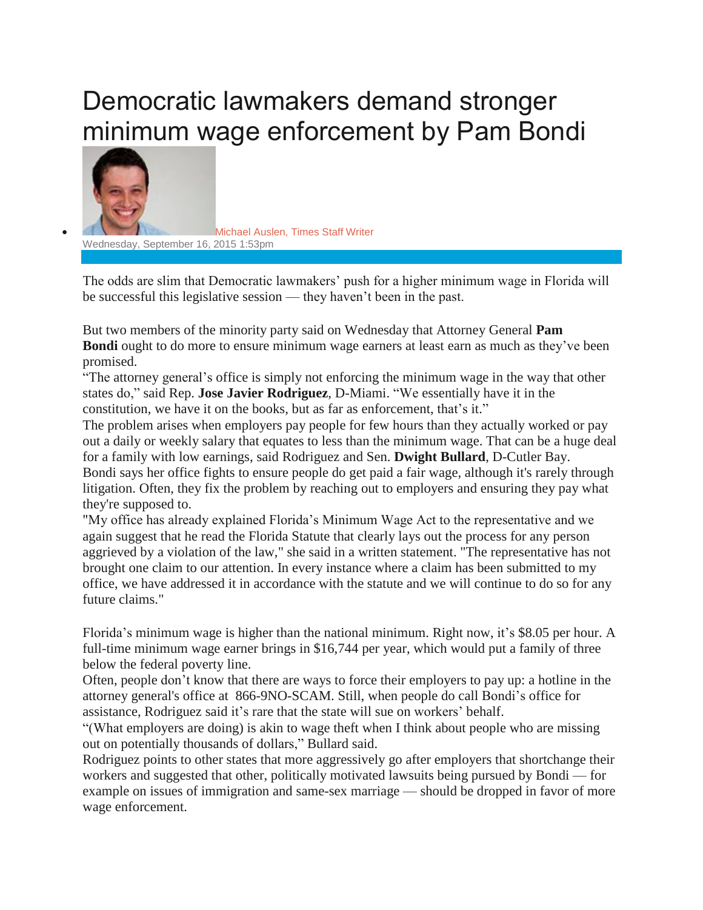## Democratic lawmakers demand stronger minimum wage enforcement by Pam Bondi



 [Michael](http://www.tampabay.com/writers/michael-auslen) Auslen, Times Staff Writer Wednesday, September 16, 2015 1:53pm

The odds are slim that Democratic lawmakers' push for a higher minimum wage in Florida will be successful this legislative session — they haven't been in the past.

But two members of the minority party said on Wednesday that Attorney General **Pam Bondi** ought to do more to ensure minimum wage earners at least earn as much as they've been promised.

"The attorney general's office is simply not enforcing the minimum wage in the way that other states do," said Rep. **Jose Javier Rodriguez**, D-Miami. "We essentially have it in the constitution, we have it on the books, but as far as enforcement, that's it."

The problem arises when employers pay people for few hours than they actually worked or pay out a daily or weekly salary that equates to less than the minimum wage. That can be a huge deal for a family with low earnings, said Rodriguez and Sen. **Dwight Bullard**, D-Cutler Bay. Bondi says her office fights to ensure people do get paid a fair wage, although it's rarely through litigation. Often, they fix the problem by reaching out to employers and ensuring they pay what they're supposed to.

"My office has already explained Florida's Minimum Wage Act to the representative and we again suggest that he read the Florida Statute that clearly lays out the process for any person aggrieved by a violation of the law," she said in a written statement. "The representative has not brought one claim to our attention. In every instance where a claim has been submitted to my office, we have addressed it in accordance with the statute and we will continue to do so for any future claims."

Florida's minimum wage is higher than the national minimum. Right now, it's \$8.05 per hour. A full-time minimum wage earner brings in \$16,744 per year, which would put a family of three below the federal poverty line.

Often, people don't know that there are ways to force their employers to pay up: a hotline in the attorney general's office at 866-9NO-SCAM. Still, when people do call Bondi's office for assistance, Rodriguez said it's rare that the state will sue on workers' behalf.

"(What employers are doing) is akin to wage theft when I think about people who are missing out on potentially thousands of dollars," Bullard said.

Rodriguez points to other states that more aggressively go after employers that shortchange their workers and suggested that other, politically motivated lawsuits being pursued by Bondi — for example on issues of immigration and same-sex marriage — should be dropped in favor of more wage enforcement.